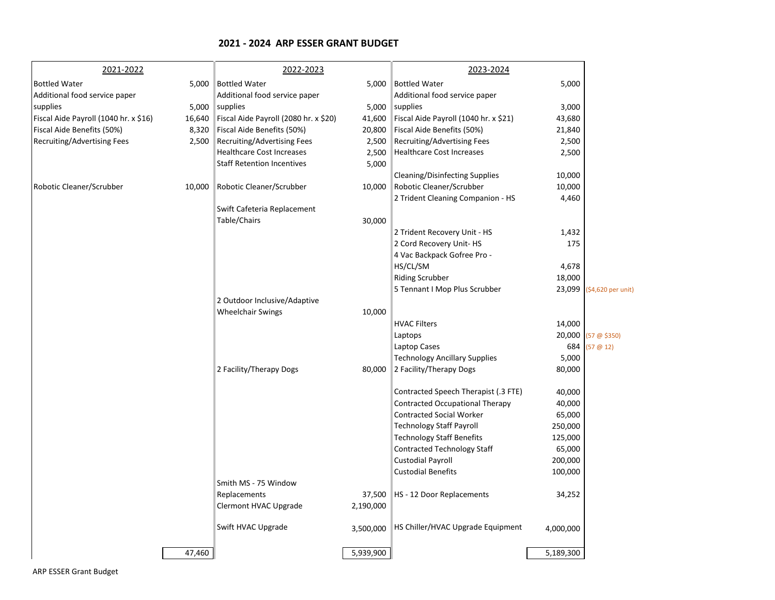## **2021 - 2024 ARP ESSER GRANT BUDGET**

| <b>Bottled Water</b><br><b>Bottled Water</b><br>5,000 Bottled Water<br>5,000<br>5,000<br>Additional food service paper<br>Additional food service paper<br>Additional food service paper<br>supplies<br>5,000<br>supplies<br>5,000 supplies<br>3,000<br>Fiscal Aide Payroll (1040 hr. x \$16)<br>16,640<br>Fiscal Aide Payroll (2080 hr. x \$20)<br>41,600<br>Fiscal Aide Payroll (1040 hr. x \$21)<br>43,680<br>Fiscal Aide Benefits (50%)<br>Fiscal Aide Benefits (50%)<br>Fiscal Aide Benefits (50%)<br>8,320<br>20,800<br>21,840<br>Recruiting/Advertising Fees<br>2,500<br>Recruiting/Advertising Fees<br>2,500<br>Recruiting/Advertising Fees<br>2,500<br><b>Healthcare Cost Increases</b><br><b>Healthcare Cost Increases</b><br>2,500<br>2,500<br><b>Staff Retention Incentives</b><br>5,000<br><b>Cleaning/Disinfecting Supplies</b><br>10,000<br>Robotic Cleaner/Scrubber<br>Robotic Cleaner/Scrubber<br>10,000 Robotic Cleaner/Scrubber<br>10,000<br>10,000<br>2 Trident Cleaning Companion - HS<br>4,460<br>Swift Cafeteria Replacement<br>Table/Chairs<br>30,000<br>1,432<br>2 Trident Recovery Unit - HS<br>2 Cord Recovery Unit-HS<br>175<br>4 Vac Backpack Gofree Pro - |                    |
|-----------------------------------------------------------------------------------------------------------------------------------------------------------------------------------------------------------------------------------------------------------------------------------------------------------------------------------------------------------------------------------------------------------------------------------------------------------------------------------------------------------------------------------------------------------------------------------------------------------------------------------------------------------------------------------------------------------------------------------------------------------------------------------------------------------------------------------------------------------------------------------------------------------------------------------------------------------------------------------------------------------------------------------------------------------------------------------------------------------------------------------------------------------------------------------------|--------------------|
|                                                                                                                                                                                                                                                                                                                                                                                                                                                                                                                                                                                                                                                                                                                                                                                                                                                                                                                                                                                                                                                                                                                                                                                         |                    |
|                                                                                                                                                                                                                                                                                                                                                                                                                                                                                                                                                                                                                                                                                                                                                                                                                                                                                                                                                                                                                                                                                                                                                                                         |                    |
|                                                                                                                                                                                                                                                                                                                                                                                                                                                                                                                                                                                                                                                                                                                                                                                                                                                                                                                                                                                                                                                                                                                                                                                         |                    |
|                                                                                                                                                                                                                                                                                                                                                                                                                                                                                                                                                                                                                                                                                                                                                                                                                                                                                                                                                                                                                                                                                                                                                                                         |                    |
|                                                                                                                                                                                                                                                                                                                                                                                                                                                                                                                                                                                                                                                                                                                                                                                                                                                                                                                                                                                                                                                                                                                                                                                         |                    |
|                                                                                                                                                                                                                                                                                                                                                                                                                                                                                                                                                                                                                                                                                                                                                                                                                                                                                                                                                                                                                                                                                                                                                                                         |                    |
|                                                                                                                                                                                                                                                                                                                                                                                                                                                                                                                                                                                                                                                                                                                                                                                                                                                                                                                                                                                                                                                                                                                                                                                         |                    |
|                                                                                                                                                                                                                                                                                                                                                                                                                                                                                                                                                                                                                                                                                                                                                                                                                                                                                                                                                                                                                                                                                                                                                                                         |                    |
|                                                                                                                                                                                                                                                                                                                                                                                                                                                                                                                                                                                                                                                                                                                                                                                                                                                                                                                                                                                                                                                                                                                                                                                         |                    |
|                                                                                                                                                                                                                                                                                                                                                                                                                                                                                                                                                                                                                                                                                                                                                                                                                                                                                                                                                                                                                                                                                                                                                                                         |                    |
|                                                                                                                                                                                                                                                                                                                                                                                                                                                                                                                                                                                                                                                                                                                                                                                                                                                                                                                                                                                                                                                                                                                                                                                         |                    |
|                                                                                                                                                                                                                                                                                                                                                                                                                                                                                                                                                                                                                                                                                                                                                                                                                                                                                                                                                                                                                                                                                                                                                                                         |                    |
|                                                                                                                                                                                                                                                                                                                                                                                                                                                                                                                                                                                                                                                                                                                                                                                                                                                                                                                                                                                                                                                                                                                                                                                         |                    |
|                                                                                                                                                                                                                                                                                                                                                                                                                                                                                                                                                                                                                                                                                                                                                                                                                                                                                                                                                                                                                                                                                                                                                                                         |                    |
|                                                                                                                                                                                                                                                                                                                                                                                                                                                                                                                                                                                                                                                                                                                                                                                                                                                                                                                                                                                                                                                                                                                                                                                         |                    |
|                                                                                                                                                                                                                                                                                                                                                                                                                                                                                                                                                                                                                                                                                                                                                                                                                                                                                                                                                                                                                                                                                                                                                                                         |                    |
| HS/CL/SM<br>4,678                                                                                                                                                                                                                                                                                                                                                                                                                                                                                                                                                                                                                                                                                                                                                                                                                                                                                                                                                                                                                                                                                                                                                                       |                    |
| <b>Riding Scrubber</b><br>18,000                                                                                                                                                                                                                                                                                                                                                                                                                                                                                                                                                                                                                                                                                                                                                                                                                                                                                                                                                                                                                                                                                                                                                        |                    |
| 5 Tennant I Mop Plus Scrubber<br>23,099                                                                                                                                                                                                                                                                                                                                                                                                                                                                                                                                                                                                                                                                                                                                                                                                                                                                                                                                                                                                                                                                                                                                                 | (\$4,620 per unit) |
| 2 Outdoor Inclusive/Adaptive                                                                                                                                                                                                                                                                                                                                                                                                                                                                                                                                                                                                                                                                                                                                                                                                                                                                                                                                                                                                                                                                                                                                                            |                    |
| <b>Wheelchair Swings</b><br>10,000                                                                                                                                                                                                                                                                                                                                                                                                                                                                                                                                                                                                                                                                                                                                                                                                                                                                                                                                                                                                                                                                                                                                                      |                    |
| <b>HVAC Filters</b><br>14,000                                                                                                                                                                                                                                                                                                                                                                                                                                                                                                                                                                                                                                                                                                                                                                                                                                                                                                                                                                                                                                                                                                                                                           |                    |
| 20,000<br>Laptops                                                                                                                                                                                                                                                                                                                                                                                                                                                                                                                                                                                                                                                                                                                                                                                                                                                                                                                                                                                                                                                                                                                                                                       | (57@\$350)         |
| 684<br>Laptop Cases                                                                                                                                                                                                                                                                                                                                                                                                                                                                                                                                                                                                                                                                                                                                                                                                                                                                                                                                                                                                                                                                                                                                                                     | (57@12)            |
| 5,000<br><b>Technology Ancillary Supplies</b>                                                                                                                                                                                                                                                                                                                                                                                                                                                                                                                                                                                                                                                                                                                                                                                                                                                                                                                                                                                                                                                                                                                                           |                    |
| 2 Facility/Therapy Dogs<br>2 Facility/Therapy Dogs<br>80,000<br>80,000                                                                                                                                                                                                                                                                                                                                                                                                                                                                                                                                                                                                                                                                                                                                                                                                                                                                                                                                                                                                                                                                                                                  |                    |
| Contracted Speech Therapist (.3 FTE)<br>40,000                                                                                                                                                                                                                                                                                                                                                                                                                                                                                                                                                                                                                                                                                                                                                                                                                                                                                                                                                                                                                                                                                                                                          |                    |
| Contracted Occupational Therapy<br>40,000                                                                                                                                                                                                                                                                                                                                                                                                                                                                                                                                                                                                                                                                                                                                                                                                                                                                                                                                                                                                                                                                                                                                               |                    |
| <b>Contracted Social Worker</b><br>65,000                                                                                                                                                                                                                                                                                                                                                                                                                                                                                                                                                                                                                                                                                                                                                                                                                                                                                                                                                                                                                                                                                                                                               |                    |
| <b>Technology Staff Payroll</b><br>250,000                                                                                                                                                                                                                                                                                                                                                                                                                                                                                                                                                                                                                                                                                                                                                                                                                                                                                                                                                                                                                                                                                                                                              |                    |
| 125,000<br><b>Technology Staff Benefits</b>                                                                                                                                                                                                                                                                                                                                                                                                                                                                                                                                                                                                                                                                                                                                                                                                                                                                                                                                                                                                                                                                                                                                             |                    |
| <b>Contracted Technology Staff</b><br>65,000                                                                                                                                                                                                                                                                                                                                                                                                                                                                                                                                                                                                                                                                                                                                                                                                                                                                                                                                                                                                                                                                                                                                            |                    |
| Custodial Payroll<br>200,000                                                                                                                                                                                                                                                                                                                                                                                                                                                                                                                                                                                                                                                                                                                                                                                                                                                                                                                                                                                                                                                                                                                                                            |                    |
| <b>Custodial Benefits</b><br>100,000                                                                                                                                                                                                                                                                                                                                                                                                                                                                                                                                                                                                                                                                                                                                                                                                                                                                                                                                                                                                                                                                                                                                                    |                    |
| Smith MS - 75 Window                                                                                                                                                                                                                                                                                                                                                                                                                                                                                                                                                                                                                                                                                                                                                                                                                                                                                                                                                                                                                                                                                                                                                                    |                    |
| Replacements<br>34,252<br>37,500<br>HS - 12 Door Replacements                                                                                                                                                                                                                                                                                                                                                                                                                                                                                                                                                                                                                                                                                                                                                                                                                                                                                                                                                                                                                                                                                                                           |                    |
| Clermont HVAC Upgrade<br>2,190,000                                                                                                                                                                                                                                                                                                                                                                                                                                                                                                                                                                                                                                                                                                                                                                                                                                                                                                                                                                                                                                                                                                                                                      |                    |
| Swift HVAC Upgrade<br>HS Chiller/HVAC Upgrade Equipment<br>3,500,000<br>4,000,000                                                                                                                                                                                                                                                                                                                                                                                                                                                                                                                                                                                                                                                                                                                                                                                                                                                                                                                                                                                                                                                                                                       |                    |
| 5,939,900<br>47,460<br>5,189,300                                                                                                                                                                                                                                                                                                                                                                                                                                                                                                                                                                                                                                                                                                                                                                                                                                                                                                                                                                                                                                                                                                                                                        |                    |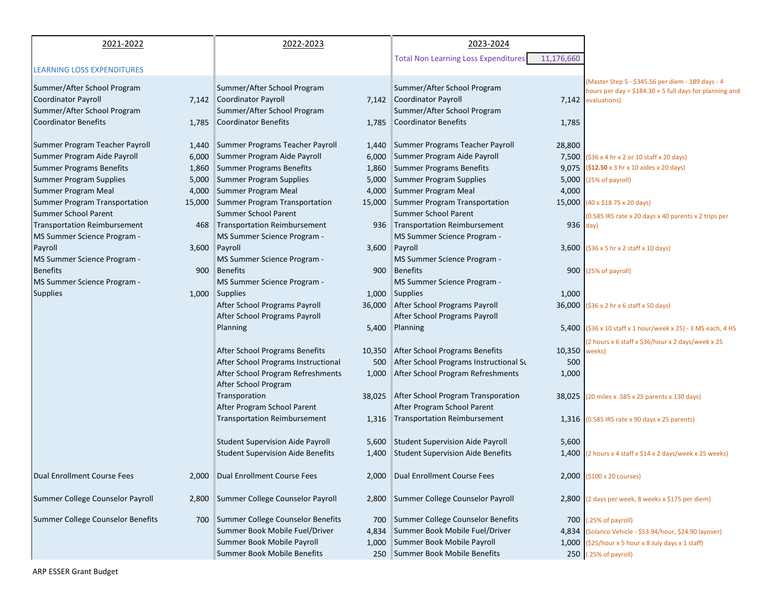| 2021-2022                                  | 2022-2023                                         | 2023-2024                                                                          |                                                                    |
|--------------------------------------------|---------------------------------------------------|------------------------------------------------------------------------------------|--------------------------------------------------------------------|
|                                            |                                                   | <b>Total Non Learning Loss Expenditures</b>                                        |                                                                    |
| <b>LEARNING LOSS EXPENDITURES</b>          |                                                   | 11,176,660                                                                         |                                                                    |
|                                            |                                                   |                                                                                    | (Master Step 5 - \$345.56 per diem - 189 days - 4                  |
| Summer/After School Program                | Summer/After School Program                       | Summer/After School Program                                                        | hours per day = $$184.30 + 5$ full days for planning and           |
| <b>Coordinator Payroll</b>                 | 7,142 Coordinator Payroll                         | 7,142 Coordinator Payroll                                                          | 7,142 evaluations)                                                 |
| Summer/After School Program                | Summer/After School Program                       | Summer/After School Program                                                        |                                                                    |
| <b>Coordinator Benefits</b>                | 1,785 Coordinator Benefits                        | 1,785 Coordinator Benefits                                                         | 1,785                                                              |
|                                            |                                                   |                                                                                    |                                                                    |
| Summer Program Teacher Payroll             | 1,440 Summer Programs Teacher Payroll             | 1,440 Summer Programs Teacher Payroll                                              | 28,800                                                             |
| Summer Program Aide Payroll<br>6,000       | Summer Program Aide Payroll<br>6,000              | Summer Program Aide Payroll                                                        | 7,500 (\$36 x 4 hr x 2 or 10 staff x 20 days)                      |
| <b>Summer Programs Benefits</b><br>1,860   | <b>Summer Programs Benefits</b><br>1,860          | <b>Summer Programs Benefits</b>                                                    | 9,075 (\$12.50 x 3 hr x 10 aides x 20 days)                        |
| Summer Program Supplies<br>5,000           | Summer Program Supplies<br>5,000                  | <b>Summer Program Supplies</b>                                                     | 5,000 (25% of payroll)                                             |
| Summer Program Meal<br>4,000               | Summer Program Meal<br>4,000                      | Summer Program Meal                                                                | 4,000                                                              |
| Summer Program Transportation              | 15,000 Summer Program Transportation              | 15,000 Summer Program Transportation                                               | 15,000 $(40 \times $18.75 \times 20 \text{ days})$                 |
| Summer School Parent                       | <b>Summer School Parent</b>                       | Summer School Parent                                                               | (0.585 IRS rate x 20 days x 40 parents x 2 trips per               |
| <b>Transportation Reimbursement</b><br>468 | Transportation Reimbursement                      | 936 Transportation Reimbursement                                                   | 936 day)                                                           |
| MS Summer Science Program -                | MS Summer Science Program -                       | MS Summer Science Program -                                                        |                                                                    |
| Payroll                                    | 3,600 Payroll<br>3,600                            | Payroll                                                                            | 3,600 $(536 \times 5)$ hr x 2 staff x 10 days)                     |
| MS Summer Science Program -                | MS Summer Science Program -                       | MS Summer Science Program -                                                        |                                                                    |
| <b>Benefits</b><br>900                     | <b>Benefits</b>                                   | <b>Benefits</b><br>900                                                             | 900 (25% of payroll)                                               |
| MS Summer Science Program -                | MS Summer Science Program -                       | MS Summer Science Program -                                                        |                                                                    |
| <b>Supplies</b>                            | 1,000 Supplies                                    | 1,000 Supplies                                                                     | 1,000                                                              |
|                                            | After School Programs Payroll                     | 36,000 After School Programs Payroll                                               | 36,000 (\$36 x 2 hr x 6 staff x 50 days)                           |
|                                            | After School Programs Payroll                     | After School Programs Payroll                                                      |                                                                    |
|                                            | Planning<br>5,400                                 | Planning                                                                           | 5,400 (\$36 x 10 staff x 1 hour/week x 25) - 3 MS each, 4 HS       |
|                                            |                                                   |                                                                                    | (2 hours x 6 staff x \$36/hour x 2 days/week x 25                  |
|                                            | After School Programs Benefits                    | 10,350 After School Programs Benefits                                              | 10,350<br>weeks)                                                   |
|                                            | After School Programs Instructional               | After School Programs Instructional Su<br>500                                      | 500                                                                |
|                                            | After School Program Refreshments                 | 1,000 After School Program Refreshments                                            | 1,000                                                              |
|                                            | After School Program                              |                                                                                    |                                                                    |
|                                            | Transporation                                     | 38,025 After School Program Transporation                                          | 38,025 (20 miles x .585 x 25 parents x 130 days)                   |
|                                            | After Program School Parent                       | After Program School Parent                                                        |                                                                    |
|                                            | <b>Transportation Reimbursement</b><br>1,316      | <b>Transportation Reimbursement</b>                                                | 1,316 (0.585 IRS rate x 90 days x 25 parents)                      |
|                                            |                                                   |                                                                                    |                                                                    |
|                                            | <b>Student Supervision Aide Payroll</b>           | 5,600 Student Supervision Aide Payroll<br><b>Student Supervision Aide Benefits</b> | 5,600                                                              |
|                                            | <b>Student Supervision Aide Benefits</b><br>1,400 |                                                                                    | $1,400$ (2 hours x 4 staff x \$14 x 2 days/week x 25 weeks)        |
| Dual Enrollment Course Fees                | 2,000 Dual Enrollment Course Fees                 | 2,000 Dual Enrollment Course Fees                                                  |                                                                    |
|                                            |                                                   |                                                                                    | $2,000$ (\$100 x 20 courses)                                       |
| Summer College Counselor Payroll           | 2,800 Summer College Counselor Payroll            | 2,800 Summer College Counselor Payroll                                             | 2,800 (2 days per week, 8 weeks x \$175 per diem)                  |
|                                            |                                                   |                                                                                    |                                                                    |
| Summer College Counselor Benefits          | 700 Summer College Counselor Benefits             | Summer College Counselor Benefits<br>700                                           | 700 (.25% of payroll)                                              |
|                                            | Summer Book Mobile Fuel/Driver<br>4,834           | Summer Book Mobile Fuel/Driver                                                     | 4,834 (Solanco Vehicle - \$53.94/hour, \$24.90 layover)            |
|                                            | Summer Book Mobile Payroll<br>1,000               | Summer Book Mobile Payroll                                                         | 1,000 $(525/hour \times 5 hour \times 8 July days \times 1 staff)$ |
|                                            | <b>Summer Book Mobile Benefits</b>                | 250 Summer Book Mobile Benefits                                                    | 250 (.25% of payroll)                                              |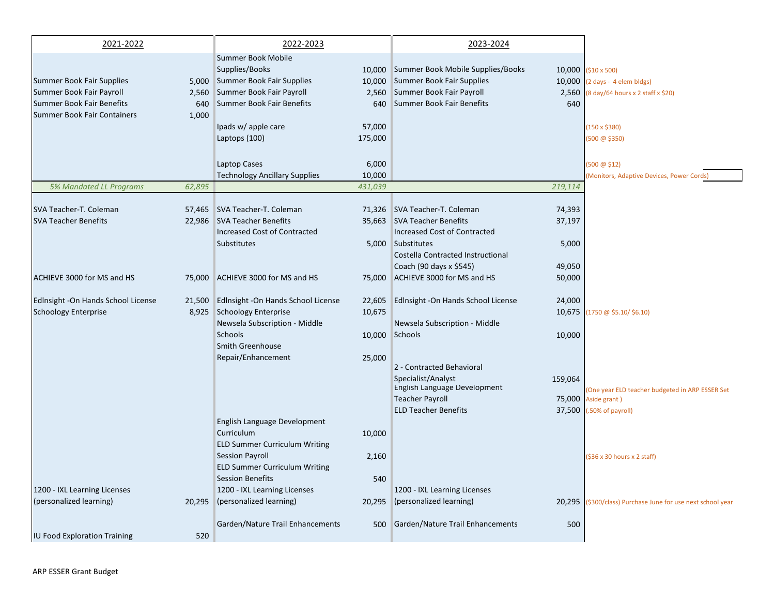| 2021-2022                           |        | 2022-2023                                  |         | 2023-2024                                          |         |                                                                        |
|-------------------------------------|--------|--------------------------------------------|---------|----------------------------------------------------|---------|------------------------------------------------------------------------|
|                                     |        | Summer Book Mobile                         |         |                                                    |         |                                                                        |
|                                     |        | Supplies/Books                             |         | 10,000 Summer Book Mobile Supplies/Books           |         | 10,000 (\$10 x 500)                                                    |
| Summer Book Fair Supplies           |        | 5,000 Summer Book Fair Supplies            | 10,000  | Summer Book Fair Supplies                          |         | 10,000 (2 days - 4 elem bldgs)                                         |
| Summer Book Fair Payroll            |        | 2,560 Summer Book Fair Payroll             |         | 2,560 Summer Book Fair Payroll                     |         | 2,560 (8 day/64 hours x 2 staff x \$20)                                |
| Summer Book Fair Benefits           | 640    | Summer Book Fair Benefits                  | 640     | Summer Book Fair Benefits                          | 640     |                                                                        |
| Summer Book Fair Containers         | 1,000  |                                            |         |                                                    |         |                                                                        |
|                                     |        | Ipads w/ apple care                        | 57,000  |                                                    |         | $(150 \times $380)$                                                    |
|                                     |        | Laptops (100)                              | 175,000 |                                                    |         | (500 @ \$350)                                                          |
|                                     |        |                                            |         |                                                    |         |                                                                        |
|                                     |        | Laptop Cases                               | 6,000   |                                                    |         | $(500 \ @ \ $12)$                                                      |
|                                     |        | <b>Technology Ancillary Supplies</b>       | 10,000  |                                                    |         | (Monitors, Adaptive Devices, Power Cords)                              |
| 5% Mandated LL Programs             | 62,895 |                                            | 431,039 |                                                    | 219,114 |                                                                        |
|                                     |        |                                            |         |                                                    |         |                                                                        |
| SVA Teacher-T. Coleman              |        | 57,465 SVA Teacher-T. Coleman              |         | 71,326 SVA Teacher-T. Coleman                      | 74,393  |                                                                        |
| <b>SVA Teacher Benefits</b>         |        | 22,986 SVA Teacher Benefits                | 35,663  | SVA Teacher Benefits                               | 37,197  |                                                                        |
|                                     |        | Increased Cost of Contracted               |         | <b>Increased Cost of Contracted</b>                |         |                                                                        |
|                                     |        | Substitutes                                |         | 5,000 Substitutes                                  | 5,000   |                                                                        |
|                                     |        |                                            |         | Costella Contracted Instructional                  |         |                                                                        |
|                                     |        |                                            |         | Coach (90 days x \$545)                            | 49,050  |                                                                        |
| ACHIEVE 3000 for MS and HS          |        | 75,000 ACHIEVE 3000 for MS and HS          | 75,000  | ACHIEVE 3000 for MS and HS                         | 50,000  |                                                                        |
| Edlnsight - On Hands School License |        | 21,500 Edlnsight - On Hands School License | 22,605  | Edlnsight - On Hands School License                | 24,000  |                                                                        |
| Schoology Enterprise                |        | 8,925 Schoology Enterprise                 | 10,675  |                                                    | 10,675  | (1750 @ \$5.10/ \$6.10)                                                |
|                                     |        | Newsela Subscription - Middle              |         | Newsela Subscription - Middle                      |         |                                                                        |
|                                     |        | Schools                                    |         | 10,000 Schools                                     | 10,000  |                                                                        |
|                                     |        | Smith Greenhouse                           |         |                                                    |         |                                                                        |
|                                     |        | Repair/Enhancement                         | 25,000  |                                                    |         |                                                                        |
|                                     |        |                                            |         | 2 - Contracted Behavioral                          |         |                                                                        |
|                                     |        |                                            |         | Specialist/Analyst<br>English Language Development | 159,064 |                                                                        |
|                                     |        |                                            |         | <b>Teacher Payroll</b>                             |         | (One year ELD teacher budgeted in ARP ESSER Set<br>75,000 Aside grant) |
|                                     |        |                                            |         | <b>ELD Teacher Benefits</b>                        | 37,500  | .50% of payroll)                                                       |
|                                     |        | English Language Development               |         |                                                    |         |                                                                        |
|                                     |        | Curriculum                                 | 10,000  |                                                    |         |                                                                        |
|                                     |        | <b>ELD Summer Curriculum Writing</b>       |         |                                                    |         |                                                                        |
|                                     |        | <b>Session Payroll</b>                     | 2,160   |                                                    |         | (\$36 x 30 hours x 2 staff)                                            |
|                                     |        | <b>ELD Summer Curriculum Writing</b>       |         |                                                    |         |                                                                        |
|                                     |        | <b>Session Benefits</b>                    | 540     |                                                    |         |                                                                        |
| 1200 - IXL Learning Licenses        |        | 1200 - IXL Learning Licenses               |         | 1200 - IXL Learning Licenses                       |         |                                                                        |
| (personalized learning)             |        | 20,295 (personalized learning)             | 20,295  | (personalized learning)                            |         | 20,295 (\$300/class) Purchase June for use next school year            |
|                                     |        |                                            |         |                                                    |         |                                                                        |
|                                     |        | Garden/Nature Trail Enhancements           | 500     | Garden/Nature Trail Enhancements                   | 500     |                                                                        |
| <b>IU Food Exploration Training</b> | 520    |                                            |         |                                                    |         |                                                                        |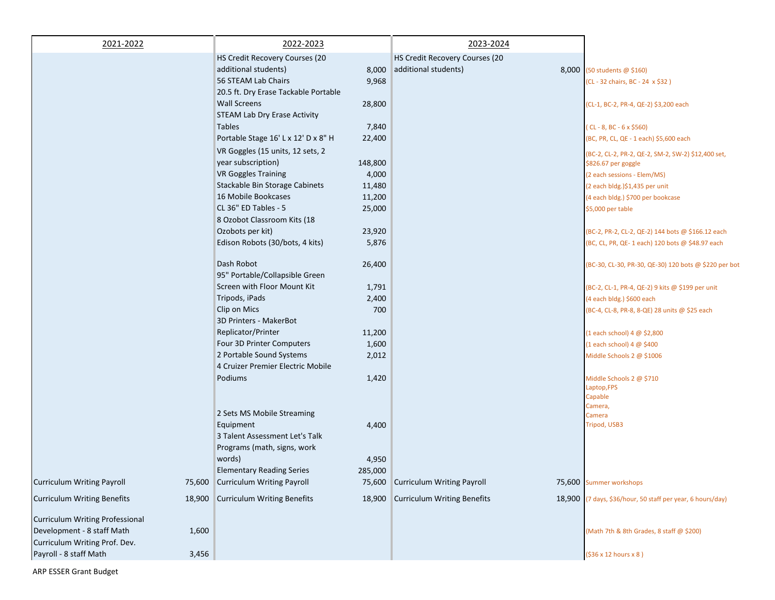| 2021-2022                              |       | 2022-2023                                                   |         | 2023-2024                          |                                                                           |
|----------------------------------------|-------|-------------------------------------------------------------|---------|------------------------------------|---------------------------------------------------------------------------|
|                                        |       | HS Credit Recovery Courses (20                              |         | HS Credit Recovery Courses (20     |                                                                           |
|                                        |       | additional students)                                        | 8,000   | additional students)               | 8,000 (50 students @ \$160)                                               |
|                                        |       | 56 STEAM Lab Chairs<br>20.5 ft. Dry Erase Tackable Portable | 9,968   |                                    | (CL - 32 chairs, BC - 24 x \$32)                                          |
|                                        |       | <b>Wall Screens</b>                                         | 28,800  |                                    | (CL-1, BC-2, PR-4, QE-2) \$3,200 each                                     |
|                                        |       | <b>STEAM Lab Dry Erase Activity</b>                         |         |                                    |                                                                           |
|                                        |       | <b>Tables</b><br>Portable Stage 16' L x 12' D x 8" H        | 7,840   |                                    | $(CL - 8, BC - 6 \times $560)$                                            |
|                                        |       |                                                             | 22,400  |                                    | (BC, PR, CL, QE - 1 each) \$5,600 each                                    |
|                                        |       | VR Goggles (15 units, 12 sets, 2<br>year subscription)      | 148,800 |                                    | (BC-2, CL-2, PR-2, QE-2, SM-2, SW-2) \$12,400 set,<br>\$826.67 per goggle |
|                                        |       | <b>VR Goggles Training</b>                                  | 4,000   |                                    | (2 each sessions - Elem/MS)                                               |
|                                        |       | Stackable Bin Storage Cabinets                              | 11,480  |                                    | (2 each bldg.)\$1,435 per unit                                            |
|                                        |       | 16 Mobile Bookcases                                         | 11,200  |                                    | (4 each bldg.) \$700 per bookcase                                         |
|                                        |       | CL 36" ED Tables - 5                                        | 25,000  |                                    | \$5,000 per table                                                         |
|                                        |       | 8 Ozobot Classroom Kits (18                                 |         |                                    |                                                                           |
|                                        |       | Ozobots per kit)                                            | 23,920  |                                    | (BC-2, PR-2, CL-2, QE-2) 144 bots @ \$166.12 each                         |
|                                        |       | Edison Robots (30/bots, 4 kits)                             | 5,876   |                                    | (BC, CL, PR, QE- 1 each) 120 bots @ \$48.97 each                          |
|                                        |       | Dash Robot<br>95" Portable/Collapsible Green                | 26,400  |                                    | (BC-30, CL-30, PR-30, QE-30) 120 bots @ \$220 per bot                     |
|                                        |       | Screen with Floor Mount Kit                                 | 1,791   |                                    | (BC-2, CL-1, PR-4, QE-2) 9 kits @ \$199 per unit                          |
|                                        |       | Tripods, iPads                                              | 2,400   |                                    | (4 each bldg.) \$600 each                                                 |
|                                        |       | Clip on Mics                                                | 700     |                                    | (BC-4, CL-8, PR-8, 8-QE) 28 units @ \$25 each                             |
|                                        |       | 3D Printers - MakerBot                                      |         |                                    |                                                                           |
|                                        |       | Replicator/Printer                                          | 11,200  |                                    | (1 each school) 4 @ \$2,800                                               |
|                                        |       | Four 3D Printer Computers                                   | 1,600   |                                    | (1 each school) $4 \omega$ \$400                                          |
|                                        |       | 2 Portable Sound Systems                                    | 2,012   |                                    | Middle Schools 2 @ \$1006                                                 |
|                                        |       | 4 Cruizer Premier Electric Mobile                           |         |                                    |                                                                           |
|                                        |       | Podiums                                                     | 1,420   |                                    | Middle Schools 2 @ \$710                                                  |
|                                        |       |                                                             |         |                                    | Laptop, FPS                                                               |
|                                        |       |                                                             |         |                                    | Capable                                                                   |
|                                        |       | 2 Sets MS Mobile Streaming                                  |         |                                    | Camera,<br>Camera                                                         |
|                                        |       | Equipment                                                   | 4,400   |                                    | Tripod, USB3                                                              |
|                                        |       | 3 Talent Assessment Let's Talk                              |         |                                    |                                                                           |
|                                        |       | Programs (math, signs, work                                 |         |                                    |                                                                           |
|                                        |       | words)                                                      | 4,950   |                                    |                                                                           |
|                                        |       | <b>Elementary Reading Series</b>                            | 285,000 |                                    |                                                                           |
| <b>Curriculum Writing Payroll</b>      |       | 75,600 Curriculum Writing Payroll                           |         | 75,600 Curriculum Writing Payroll  | 75,600 Summer workshops                                                   |
| <b>Curriculum Writing Benefits</b>     |       | 18,900 Curriculum Writing Benefits                          | 18,900  | <b>Curriculum Writing Benefits</b> | 18,900 (7 days, \$36/hour, 50 staff per year, 6 hours/day)                |
| <b>Curriculum Writing Professional</b> |       |                                                             |         |                                    |                                                                           |
| Development - 8 staff Math             | 1,600 |                                                             |         |                                    | (Math 7th & 8th Grades, 8 staff @ \$200)                                  |
| Curriculum Writing Prof. Dev.          |       |                                                             |         |                                    |                                                                           |
| Payroll - 8 staff Math                 | 3,456 |                                                             |         |                                    | (\$36 x 12 hours x 8)                                                     |